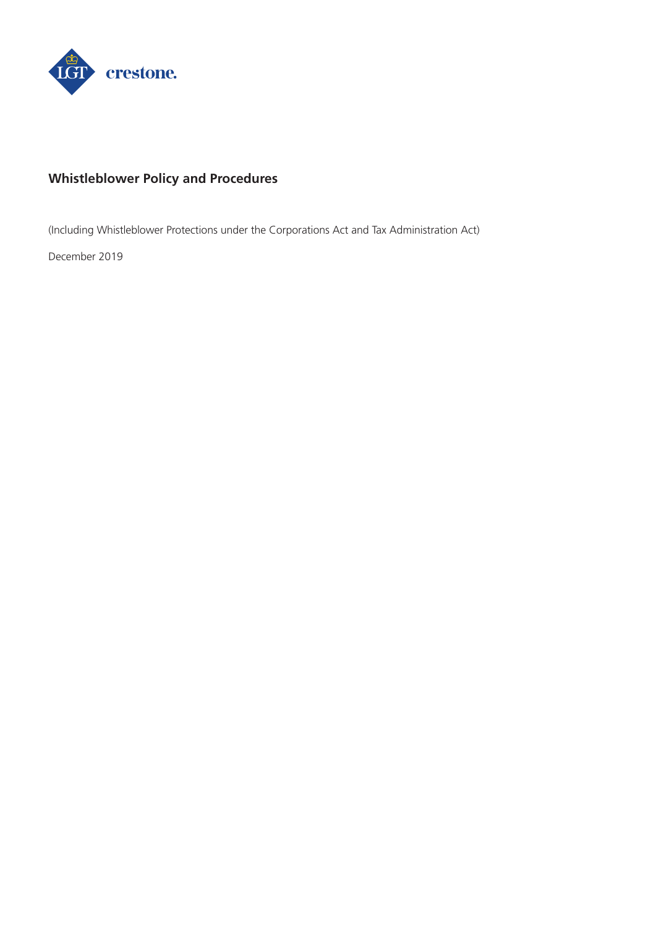

# **Whistleblower Policy and Procedures**

(Including Whistleblower Protections under the Corporations Act and Tax Administration Act)

December 2019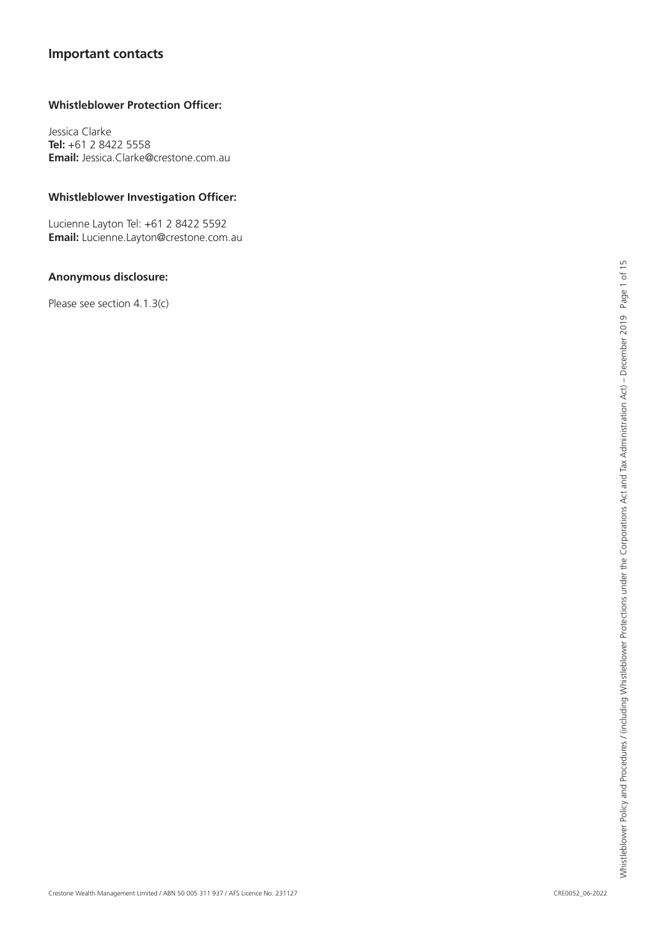# **Important contacts**

### **Whistleblower Protection Officer:**

Jessica Clarke **Tel:** +61 2 8422 5558 **Email:** Jessica.Clarke@crestone.com.au

### **Whistleblower Investigation Officer:**

Lucienne Layton Tel: +61 2 8422 5592 **Email:** Lucienne.Layton@crestone.com.au

### **Anonymous disclosure:**

Please see section 4.1.3(c)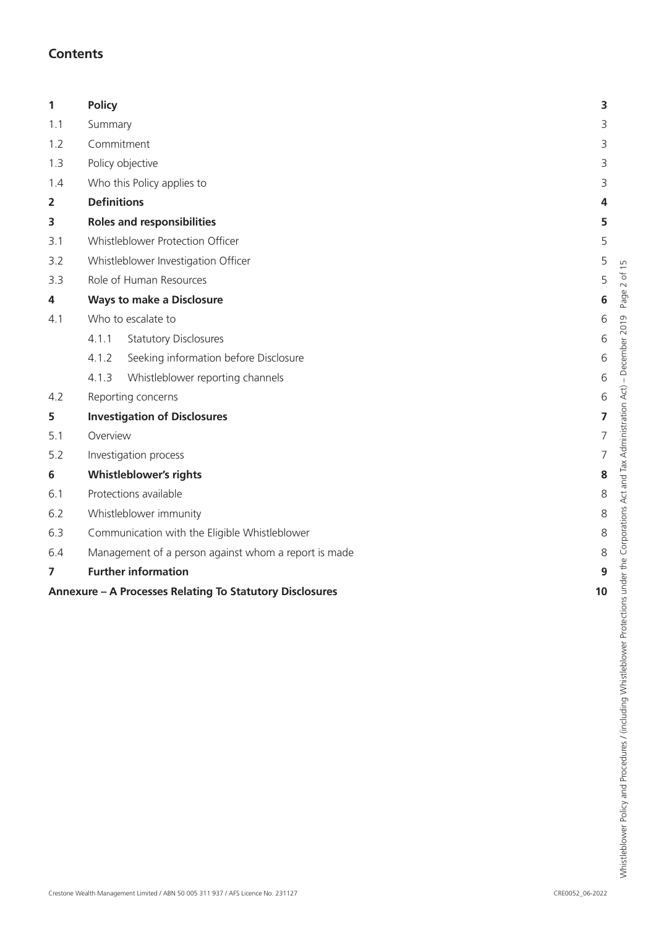# **Contents**

| 1                       | <b>Policy</b>                                            | 3                       |  |
|-------------------------|----------------------------------------------------------|-------------------------|--|
| 1.1                     | Summary                                                  |                         |  |
| 1.2                     | Commitment                                               | 3                       |  |
| 1.3                     | Policy objective                                         | 3                       |  |
| 1.4                     | Who this Policy applies to                               |                         |  |
| $\overline{\mathbf{2}}$ | <b>Definitions</b>                                       | 4                       |  |
| 3                       | <b>Roles and responsibilities</b>                        | 5                       |  |
| 3.1                     | Whistleblower Protection Officer                         |                         |  |
| 3.2                     | Whistleblower Investigation Officer                      |                         |  |
| 3.3                     | Role of Human Resources                                  | 5                       |  |
| 4                       | <b>Ways to make a Disclosure</b>                         | 6                       |  |
| 4.1                     | Who to escalate to                                       |                         |  |
|                         | <b>Statutory Disclosures</b><br>4.1.1                    | 6                       |  |
|                         | Seeking information before Disclosure<br>4.1.2           | 6                       |  |
|                         | 4.1.3<br>Whistleblower reporting channels                | 6                       |  |
| 4.2                     | Reporting concerns                                       | 6                       |  |
| 5                       | <b>Investigation of Disclosures</b>                      | $\overline{\mathbf{z}}$ |  |
| 5.1                     | Overview                                                 | 7                       |  |
| 5.2                     | Investigation process                                    |                         |  |
| 6                       | <b>Whistleblower's rights</b>                            | 8                       |  |
| 6.1                     | Protections available                                    | 8                       |  |
| 6.2                     | Whistleblower immunity                                   |                         |  |
| 6.3                     | Communication with the Eligible Whistleblower            | 8                       |  |
| 6.4                     | Management of a person against whom a report is made     | 8                       |  |
| 7                       | <b>Further information</b>                               | 9                       |  |
|                         | Annexure - A Processes Relating To Statutory Disclosures | 10                      |  |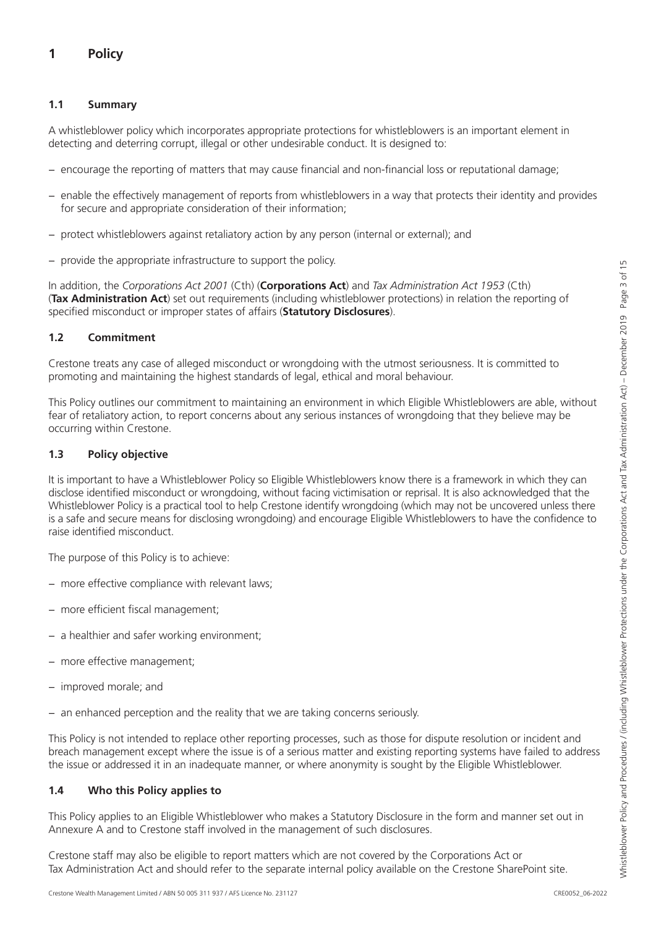# <span id="page-3-0"></span>**1 Policy**

### **1.1 Summary**

A whistleblower policy which incorporates appropriate protections for whistleblowers is an important element in detecting and deterring corrupt, illegal or other undesirable conduct. It is designed to:

- − encourage the reporting of matters that may cause financial and non-financial loss or reputational damage;
- enable the effectively management of reports from whistleblowers in a way that protects their identity and provides for secure and appropriate consideration of their information;
- protect whistleblowers against retaliatory action by any person (internal or external); and
- provide the appropriate infrastructure to support the policy.

In addition, the *Corporations Act 2001* (Cth) (**Corporations Act**) and *Tax Administration Act 1953* (Cth) (**Tax Administration Act**) set out requirements (including whistleblower protections) in relation the reporting of specified misconduct or improper states of affairs (**Statutory Disclosures**).

## **1.2 Commitment**

Crestone treats any case of alleged misconduct or wrongdoing with the utmost seriousness. It is committed to promoting and maintaining the highest standards of legal, ethical and moral behaviour.

This Policy outlines our commitment to maintaining an environment in which Eligible Whistleblowers are able, without fear of retaliatory action, to report concerns about any serious instances of wrongdoing that they believe may be occurring within Crestone.

### **1.3 Policy objective**

It is important to have a Whistleblower Policy so Eligible Whistleblowers know there is a framework in which they can disclose identified misconduct or wrongdoing, without facing victimisation or reprisal. It is also acknowledged that the Whistleblower Policy is a practical tool to help Crestone identify wrongdoing (which may not be uncovered unless there is a safe and secure means for disclosing wrongdoing) and encourage Eligible Whistleblowers to have the confidence to raise identified misconduct.

The purpose of this Policy is to achieve:

- − more effective compliance with relevant laws;
- − more efficient fiscal management;
- − a healthier and safer working environment;
- − more effective management;
- − improved morale; and
- − an enhanced perception and the reality that we are taking concerns seriously.

This Policy is not intended to replace other reporting processes, such as those for dispute resolution or incident and breach management except where the issue is of a serious matter and existing reporting systems have failed to address the issue or addressed it in an inadequate manner, or where anonymity is sought by the Eligible Whistleblower.

### **1.4 Who this Policy applies to**

This Policy applies to an Eligible Whistleblower who makes a Statutory Disclosure in the form and manner set out in Annexure A and to Crestone staff involved in the management of such disclosures.

Crestone staff may also be eligible to report matters which are not covered by the Corporations Act or Tax Administration Act and should refer to the separate internal policy available on the Crestone SharePoint site.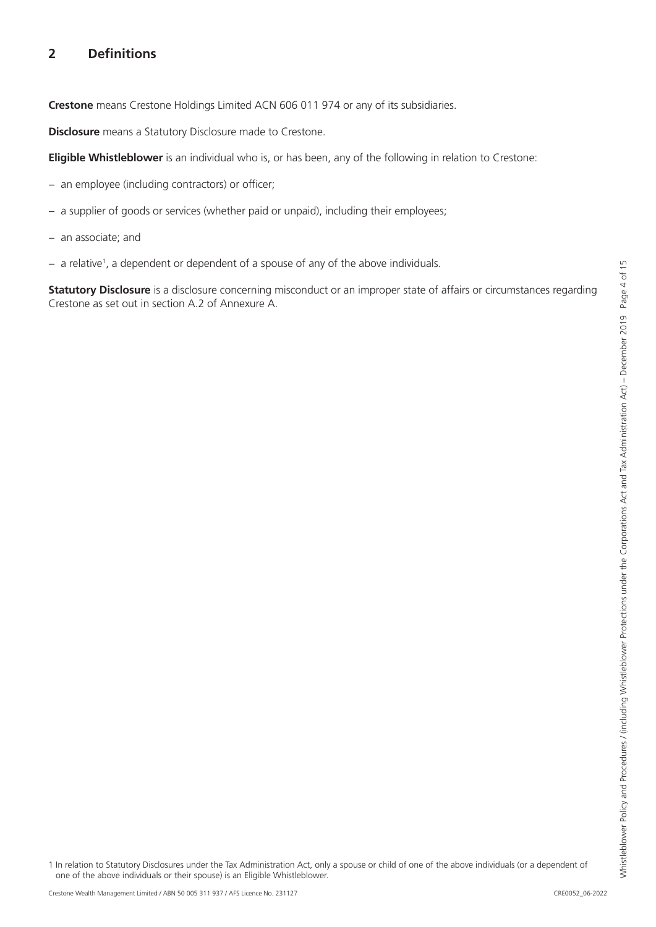# Whistleblower Policy and Procedures / (including Whistleblower Protections under the Corporations Act and Tax Administration Act) - December 2019 Page 4 of 15 Whistleblower Policy and Procedures / (including Whistleblower Protections under the Corporations Act and Tax Administration Act) – December 2019 Page 4 of 15

# <span id="page-4-0"></span>**2 Definitions**

**Crestone** means Crestone Holdings Limited ACN 606 011 974 or any of its subsidiaries.

**Disclosure** means a Statutory Disclosure made to Crestone.

**Eligible Whistleblower** is an individual who is, or has been, any of the following in relation to Crestone:

- − an employee (including contractors) or officer;
- − a supplier of goods or services (whether paid or unpaid), including their employees;
- − an associate; and
- − a relative1 , a dependent or dependent of a spouse of any of the above individuals.

**Statutory Disclosure** is a disclosure concerning misconduct or an improper state of affairs or circumstances regarding Crestone as set out in section A.2 of Annexure A.

1 In relation to Statutory Disclosures under the Tax Administration Act, only a spouse or child of one of the above individuals (or a dependent of one of the above individuals or their spouse) is an Eligible Whistleblower.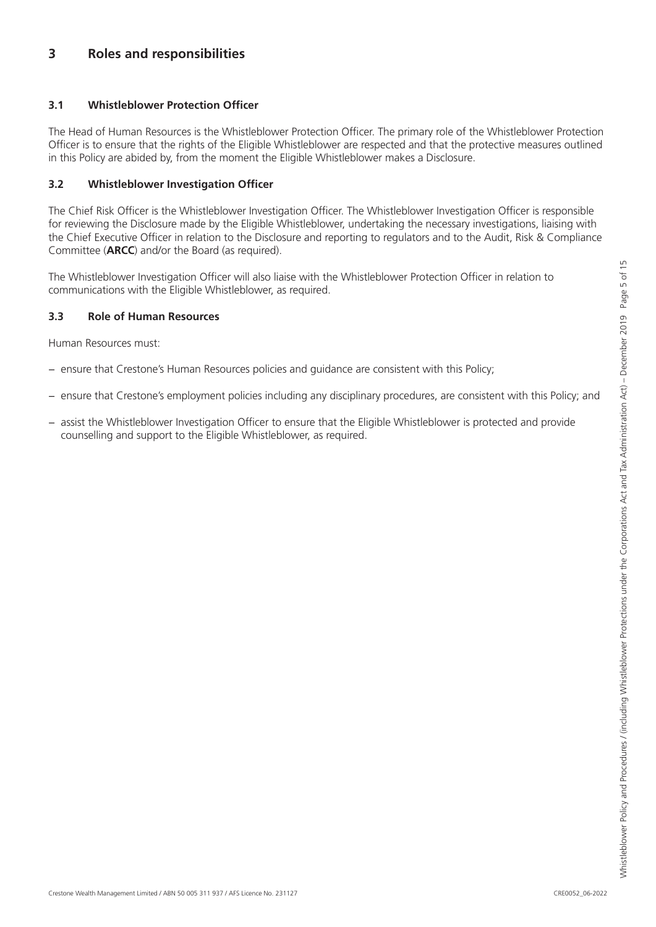# <span id="page-5-0"></span>**3 Roles and responsibilities**

### **3.1 Whistleblower Protection Officer**

The Head of Human Resources is the Whistleblower Protection Officer. The primary role of the Whistleblower Protection Officer is to ensure that the rights of the Eligible Whistleblower are respected and that the protective measures outlined in this Policy are abided by, from the moment the Eligible Whistleblower makes a Disclosure.

### **3.2 Whistleblower Investigation Officer**

The Chief Risk Officer is the Whistleblower Investigation Officer. The Whistleblower Investigation Officer is responsible for reviewing the Disclosure made by the Eligible Whistleblower, undertaking the necessary investigations, liaising with the Chief Executive Officer in relation to the Disclosure and reporting to regulators and to the Audit, Risk & Compliance Committee (**ARCC**) and/or the Board (as required).

The Whistleblower Investigation Officer will also liaise with the Whistleblower Protection Officer in relation to communications with the Eligible Whistleblower, as required.

### **3.3 Role of Human Resources**

Human Resources must:

- − ensure that Crestone's Human Resources policies and guidance are consistent with this Policy;
- ensure that Crestone's employment policies including any disciplinary procedures, are consistent with this Policy; and
- − assist the Whistleblower Investigation Officer to ensure that the Eligible Whistleblower is protected and provide counselling and support to the Eligible Whistleblower, as required.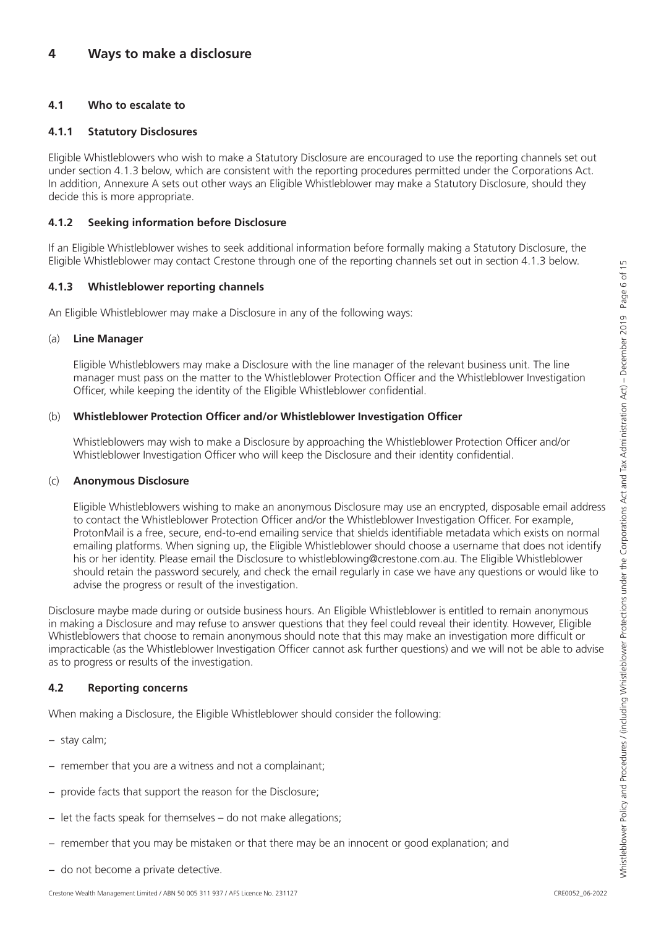# <span id="page-6-0"></span>**4 Ways to make a disclosure**

### **4.1 Who to escalate to**

### **4.1.1 Statutory Disclosures**

Eligible Whistleblowers who wish to make a Statutory Disclosure are encouraged to use the reporting channels set out under section 4.1.3 below, which are consistent with the reporting procedures permitted under the Corporations Act. In addition, Annexure A sets out other ways an Eligible Whistleblower may make a Statutory Disclosure, should they decide this is more appropriate.

### **4.1.2 Seeking information before Disclosure**

If an Eligible Whistleblower wishes to seek additional information before formally making a Statutory Disclosure, the Eligible Whistleblower may contact Crestone through one of the reporting channels set out in section 4.1.3 below.

### **4.1.3 Whistleblower reporting channels**

An Eligible Whistleblower may make a Disclosure in any of the following ways:

### (a) **Line Manager**

Eligible Whistleblowers may make a Disclosure with the line manager of the relevant business unit. The line manager must pass on the matter to the Whistleblower Protection Officer and the Whistleblower Investigation Officer, while keeping the identity of the Eligible Whistleblower confidential.

### (b) **Whistleblower Protection Officer and/or Whistleblower Investigation Officer**

Whistleblowers may wish to make a Disclosure by approaching the Whistleblower Protection Officer and/or Whistleblower Investigation Officer who will keep the Disclosure and their identity confidential.

### (c) **Anonymous Disclosure**

Eligible Whistleblowers wishing to make an anonymous Disclosure may use an encrypted, disposable email address to contact the Whistleblower Protection Officer and/or the Whistleblower Investigation Officer. For example, ProtonMail is a free, secure, end-to-end emailing service that shields identifiable metadata which exists on normal emailing platforms. When signing up, the Eligible Whistleblower should choose a username that does not identify his or her identity. Please email the Disclosure to whistleblowing@crestone.com.au. The Eligible Whistleblower should retain the password securely, and check the email regularly in case we have any questions or would like to advise the progress or result of the investigation.

Disclosure maybe made during or outside business hours. An Eligible Whistleblower is entitled to remain anonymous in making a Disclosure and may refuse to answer questions that they feel could reveal their identity. However, Eligible Whistleblowers that choose to remain anonymous should note that this may make an investigation more difficult or impracticable (as the Whistleblower Investigation Officer cannot ask further questions) and we will not be able to advise as to progress or results of the investigation.

### **4.2 Reporting concerns**

When making a Disclosure, the Eligible Whistleblower should consider the following:

- − stay calm;
- − remember that you are a witness and not a complainant;
- − provide facts that support the reason for the Disclosure;
- − let the facts speak for themselves do not make allegations;
- − remember that you may be mistaken or that there may be an innocent or good explanation; and
- − do not become a private detective.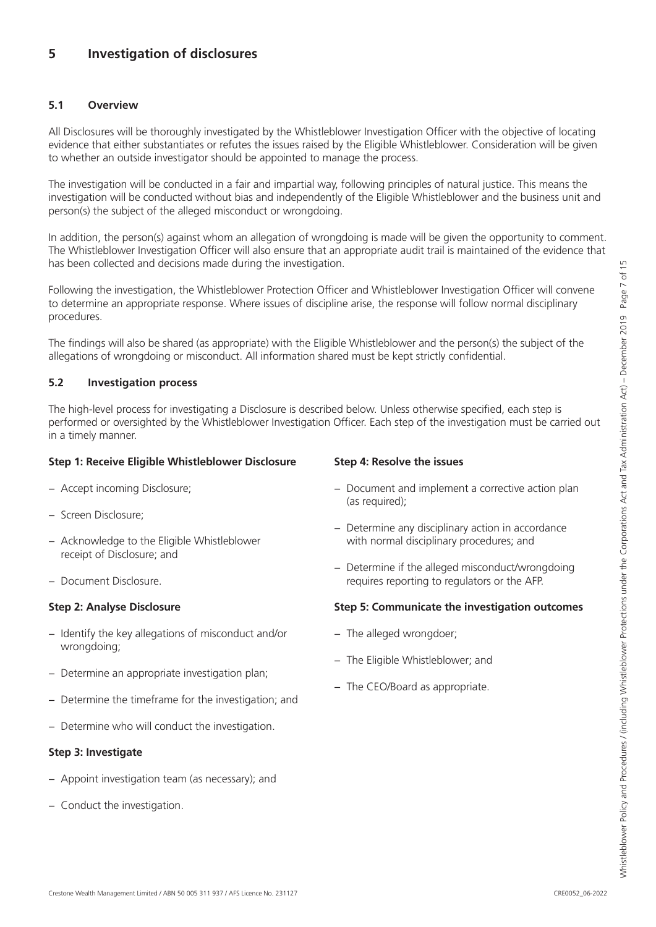# <span id="page-7-0"></span>**5 Investigation of disclosures**

### **5.1 Overview**

All Disclosures will be thoroughly investigated by the Whistleblower Investigation Officer with the objective of locating evidence that either substantiates or refutes the issues raised by the Eligible Whistleblower. Consideration will be given to whether an outside investigator should be appointed to manage the process.

The investigation will be conducted in a fair and impartial way, following principles of natural justice. This means the investigation will be conducted without bias and independently of the Eligible Whistleblower and the business unit and person(s) the subject of the alleged misconduct or wrongdoing.

In addition, the person(s) against whom an allegation of wrongdoing is made will be given the opportunity to comment. The Whistleblower Investigation Officer will also ensure that an appropriate audit trail is maintained of the evidence that has been collected and decisions made during the investigation.

Following the investigation, the Whistleblower Protection Officer and Whistleblower Investigation Officer will convene to determine an appropriate response. Where issues of discipline arise, the response will follow normal disciplinary procedures.

The findings will also be shared (as appropriate) with the Eligible Whistleblower and the person(s) the subject of the allegations of wrongdoing or misconduct. All information shared must be kept strictly confidential.

### **5.2 Investigation process**

The high-level process for investigating a Disclosure is described below. Unless otherwise specified, each step is performed or oversighted by the Whistleblower Investigation Officer. Each step of the investigation must be carried out in a timely manner.

### **Step 1: Receive Eligible Whistleblower Disclosure**

- − Accept incoming Disclosure;
- − Screen Disclosure;
- − Acknowledge to the Eligible Whistleblower receipt of Disclosure; and
- − Document Disclosure.

### **Step 2: Analyse Disclosure**

- − Identify the key allegations of misconduct and/or wrongdoing;
- − Determine an appropriate investigation plan;
- − Determine the timeframe for the investigation; and
- − Determine who will conduct the investigation.

### **Step 3: Investigate**

- − Appoint investigation team (as necessary); and
- − Conduct the investigation.

### **Step 4: Resolve the issues**

- − Document and implement a corrective action plan (as required);
- − Determine any disciplinary action in accordance with normal disciplinary procedures; and
- − Determine if the alleged misconduct/wrongdoing requires reporting to regulators or the AFP.

### **Step 5: Communicate the investigation outcomes**

- − The alleged wrongdoer;
- − The Eligible Whistleblower; and
- − The CEO/Board as appropriate.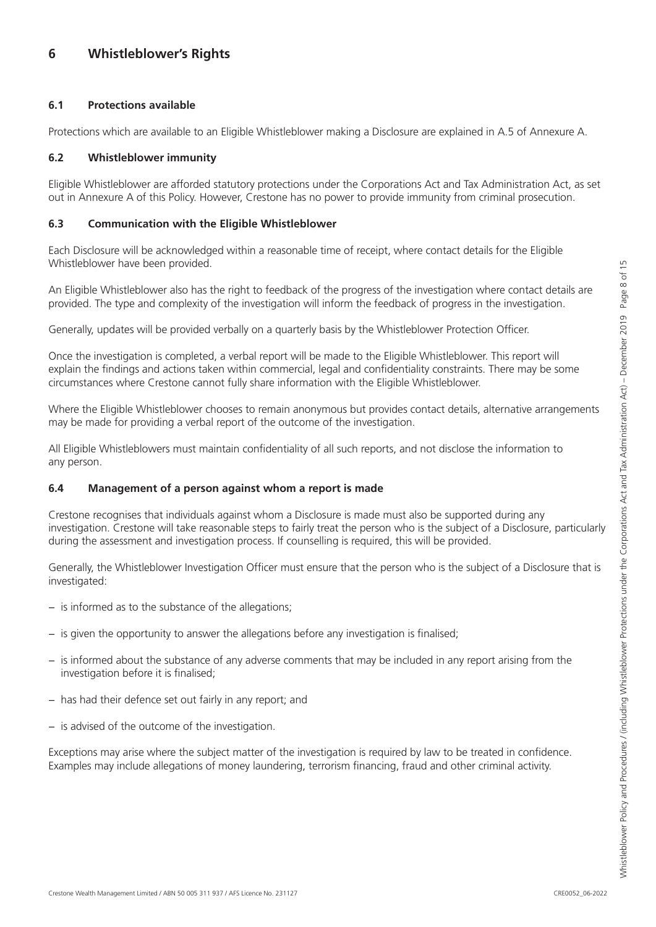# <span id="page-8-0"></span>**6 Whistleblower's Rights**

### **6.1 Protections available**

Protections which are available to an Eligible Whistleblower making a Disclosure are explained in A.5 of Annexure A.

### **6.2 Whistleblower immunity**

Eligible Whistleblower are afforded statutory protections under the Corporations Act and Tax Administration Act, as set out in Annexure A of this Policy. However, Crestone has no power to provide immunity from criminal prosecution.

### **6.3 Communication with the Eligible Whistleblower**

Each Disclosure will be acknowledged within a reasonable time of receipt, where contact details for the Eligible Whistleblower have been provided.

An Eligible Whistleblower also has the right to feedback of the progress of the investigation where contact details are provided. The type and complexity of the investigation will inform the feedback of progress in the investigation.

Generally, updates will be provided verbally on a quarterly basis by the Whistleblower Protection Officer.

Once the investigation is completed, a verbal report will be made to the Eligible Whistleblower. This report will explain the findings and actions taken within commercial, legal and confidentiality constraints. There may be some circumstances where Crestone cannot fully share information with the Eligible Whistleblower.

Where the Eligible Whistleblower chooses to remain anonymous but provides contact details, alternative arrangements may be made for providing a verbal report of the outcome of the investigation.

All Eligible Whistleblowers must maintain confidentiality of all such reports, and not disclose the information to any person.

### **6.4 Management of a person against whom a report is made**

Crestone recognises that individuals against whom a Disclosure is made must also be supported during any investigation. Crestone will take reasonable steps to fairly treat the person who is the subject of a Disclosure, particularly during the assessment and investigation process. If counselling is required, this will be provided.

Generally, the Whistleblower Investigation Officer must ensure that the person who is the subject of a Disclosure that is investigated:

- − is informed as to the substance of the allegations;
- − is given the opportunity to answer the allegations before any investigation is finalised;
- is informed about the substance of any adverse comments that may be included in any report arising from the investigation before it is finalised;
- − has had their defence set out fairly in any report; and
- − is advised of the outcome of the investigation.

Exceptions may arise where the subject matter of the investigation is required by law to be treated in confidence. Examples may include allegations of money laundering, terrorism financing, fraud and other criminal activity.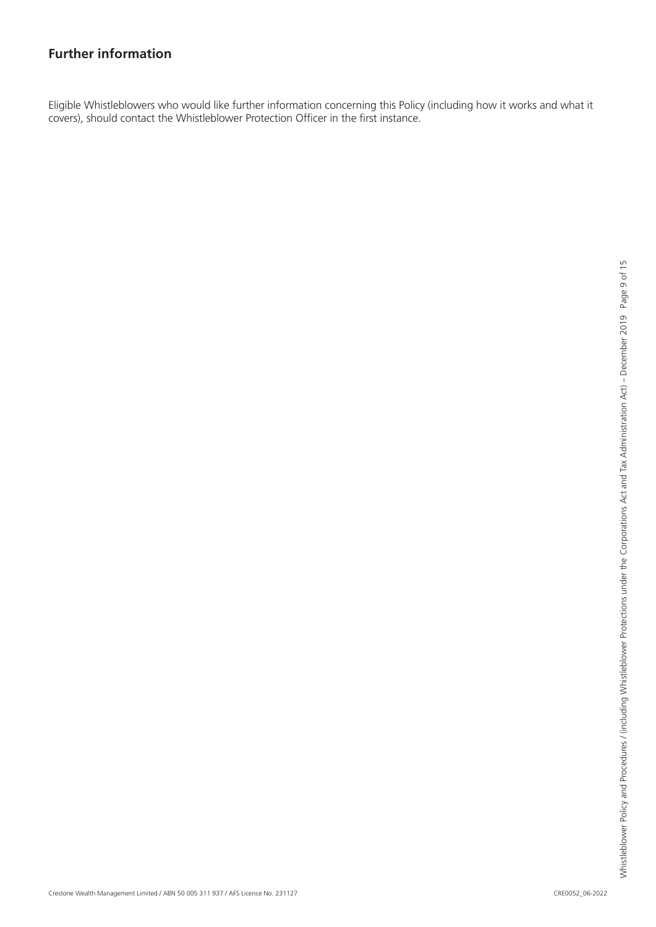# <span id="page-9-0"></span>**Further information**

Eligible Whistleblowers who would like further information concerning this Policy (including how it works and what it covers), should contact the Whistleblower Protection Officer in the first instance.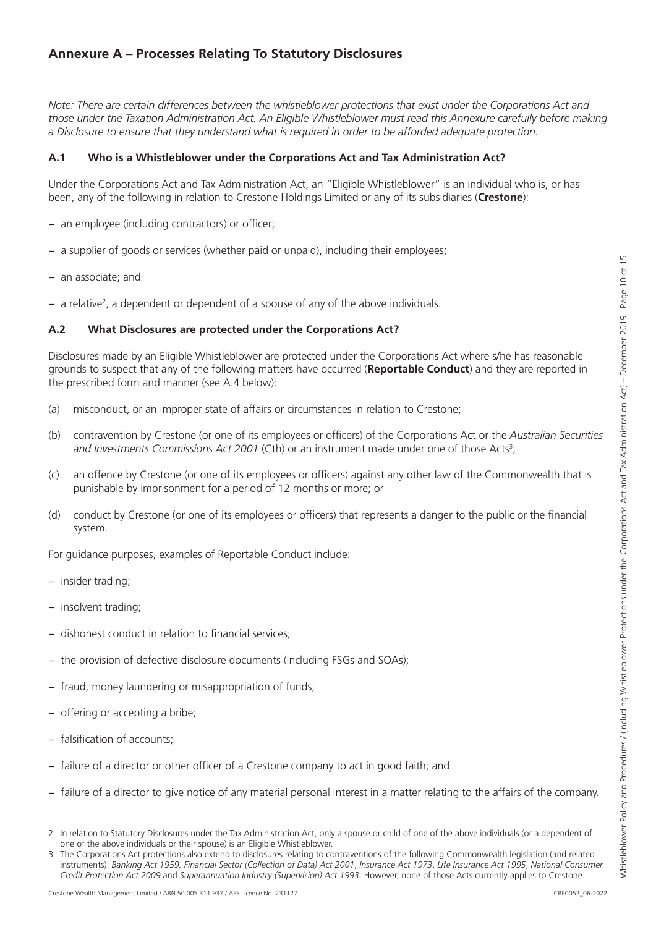# <span id="page-10-0"></span>**Annexure A – Processes Relating To Statutory Disclosures**

*Note: There are certain differences between the whistleblower protections that exist under the Corporations Act and those under the Taxation Administration Act. An Eligible Whistleblower must read this Annexure carefully before making a Disclosure to ensure that they understand what is required in order to be afforded adequate protection.*

### **A.1 Who is a Whistleblower under the Corporations Act and Tax Administration Act?**

Under the Corporations Act and Tax Administration Act, an "Eligible Whistleblower" is an individual who is, or has been, any of the following in relation to Crestone Holdings Limited or any of its subsidiaries (**Crestone**):

- − an employee (including contractors) or officer;
- − a supplier of goods or services (whether paid or unpaid), including their employees;
- − an associate; and
- − a relative<sup>2</sup>, a dependent or dependent of a spouse of <u>any of the above</u> individuals.

### **A.2 What Disclosures are protected under the Corporations Act?**

Disclosures made by an Eligible Whistleblower are protected under the Corporations Act where s/he has reasonable grounds to suspect that any of the following matters have occurred (**Reportable Conduct**) and they are reported in the prescribed form and manner (see A.4 below):

- (a) misconduct, or an improper state of affairs or circumstances in relation to Crestone;
- (b) contravention by Crestone (or one of its employees or officers) of the Corporations Act or the *Australian Securities*  and Investments Commissions Act 2001 (Cth) or an instrument made under one of those Acts<sup>3</sup>;
- (c) an offence by Crestone (or one of its employees or officers) against any other law of the Commonwealth that is punishable by imprisonment for a period of 12 months or more; or
- (d) conduct by Crestone (or one of its employees or officers) that represents a danger to the public or the financial system.

For guidance purposes, examples of Reportable Conduct include:

- − insider trading;
- − insolvent trading;
- − dishonest conduct in relation to financial services;
- − the provision of defective disclosure documents (including FSGs and SOAs);
- − fraud, money laundering or misappropriation of funds;
- − offering or accepting a bribe;
- − falsification of accounts;
- − failure of a director or other officer of a Crestone company to act in good faith; and
- − failure of a director to give notice of any material personal interest in a matter relating to the affairs of the company.

<sup>2</sup> In relation to Statutory Disclosures under the Tax Administration Act, only a spouse or child of one of the above individuals (or a dependent of one of the above individuals or their spouse) is an Eligible Whistleblower.

<sup>3</sup> The Corporations Act protections also extend to disclosures relating to contraventions of the following Commonwealth legislation (and related instruments): *Banking Act 1959, Financial Sector (Collection of Data) Act 2001*, *Insurance Act 1973*, *Life Insurance Act 1995*, *National Consumer Credit Protection Act 2009* and *Superannuation Industry (Supervision) Act 1993*. However, none of those Acts currently applies to Crestone.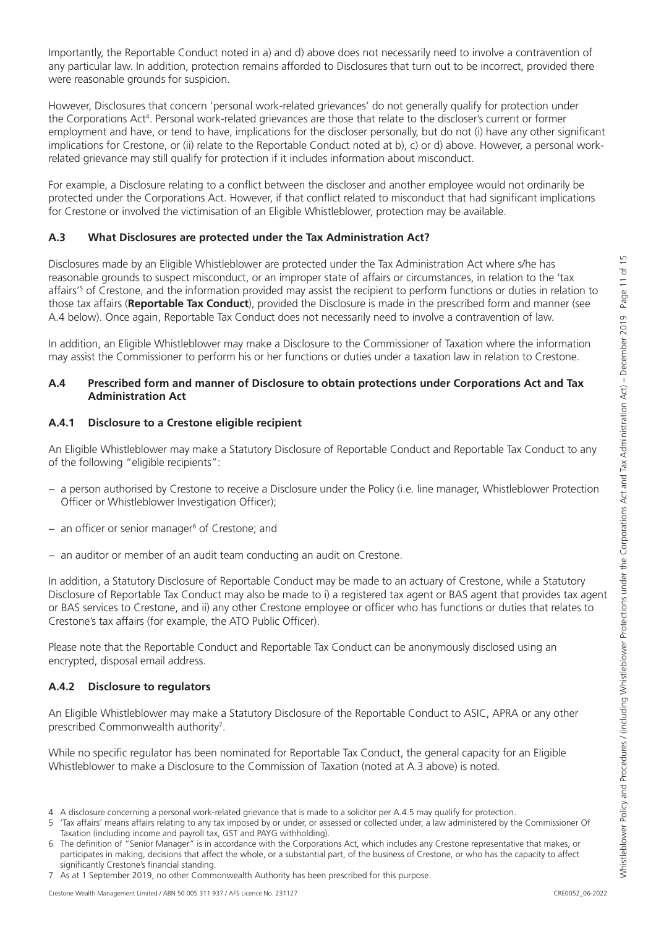Importantly, the Reportable Conduct noted in a) and d) above does not necessarily need to involve a contravention of any particular law. In addition, protection remains afforded to Disclosures that turn out to be incorrect, provided there were reasonable grounds for suspicion.

However, Disclosures that concern 'personal work-related grievances' do not generally qualify for protection under the Corporations Act<sup>4</sup>. Personal work-related grievances are those that relate to the discloser's current or former employment and have, or tend to have, implications for the discloser personally, but do not (i) have any other significant implications for Crestone, or (ii) relate to the Reportable Conduct noted at b), c) or d) above. However, a personal workrelated grievance may still qualify for protection if it includes information about misconduct.

For example, a Disclosure relating to a conflict between the discloser and another employee would not ordinarily be protected under the Corporations Act. However, if that conflict related to misconduct that had significant implications for Crestone or involved the victimisation of an Eligible Whistleblower, protection may be available.

### **A.3 What Disclosures are protected under the Tax Administration Act?**

Disclosures made by an Eligible Whistleblower are protected under the Tax Administration Act where s/he has reasonable grounds to suspect misconduct, or an improper state of affairs or circumstances, in relation to the 'tax affairs'5 of Crestone, and the information provided may assist the recipient to perform functions or duties in relation to those tax affairs (**Reportable Tax Conduct**), provided the Disclosure is made in the prescribed form and manner (see A.4 below). Once again, Reportable Tax Conduct does not necessarily need to involve a contravention of law.

In addition, an Eligible Whistleblower may make a Disclosure to the Commissioner of Taxation where the information may assist the Commissioner to perform his or her functions or duties under a taxation law in relation to Crestone.

### **A.4 Prescribed form and manner of Disclosure to obtain protections under Corporations Act and Tax Administration Act**

### **A.4.1 Disclosure to a Crestone eligible recipient**

An Eligible Whistleblower may make a Statutory Disclosure of Reportable Conduct and Reportable Tax Conduct to any of the following "eligible recipients":

- − a person authorised by Crestone to receive a Disclosure under the Policy (i.e. line manager, Whistleblower Protection Officer or Whistleblower Investigation Officer);
- − an officer or senior manager<sup>6</sup> of Crestone; and
- − an auditor or member of an audit team conducting an audit on Crestone.

In addition, a Statutory Disclosure of Reportable Conduct may be made to an actuary of Crestone, while a Statutory Disclosure of Reportable Tax Conduct may also be made to i) a registered tax agent or BAS agent that provides tax agent or BAS services to Crestone, and ii) any other Crestone employee or officer who has functions or duties that relates to Crestone's tax affairs (for example, the ATO Public Officer).

Please note that the Reportable Conduct and Reportable Tax Conduct can be anonymously disclosed using an encrypted, disposal email address.

### **A.4.2 Disclosure to regulators**

An Eligible Whistleblower may make a Statutory Disclosure of the Reportable Conduct to ASIC, APRA or any other prescribed Commonwealth authority<sup>7</sup>.

While no specific regulator has been nominated for Reportable Tax Conduct, the general capacity for an Eligible Whistleblower to make a Disclosure to the Commission of Taxation (noted at A.3 above) is noted.

<sup>4</sup> A disclosure concerning a personal work-related grievance that is made to a solicitor per A.4.5 may qualify for protection.

<sup>&#</sup>x27;Tax affairs' means affairs relating to any tax imposed by or under, or assessed or collected under, a law administered by the Commissioner Of Taxation (including income and payroll tax, GST and PAYG withholding).

<sup>6</sup> The definition of "Senior Manager" is in accordance with the Corporations Act, which includes any Crestone representative that makes, or participates in making, decisions that affect the whole, or a substantial part, of the business of Crestone, or who has the capacity to affect significantly Crestone's financial standing.

<sup>7</sup> As at 1 September 2019, no other Commonwealth Authority has been prescribed for this purpose.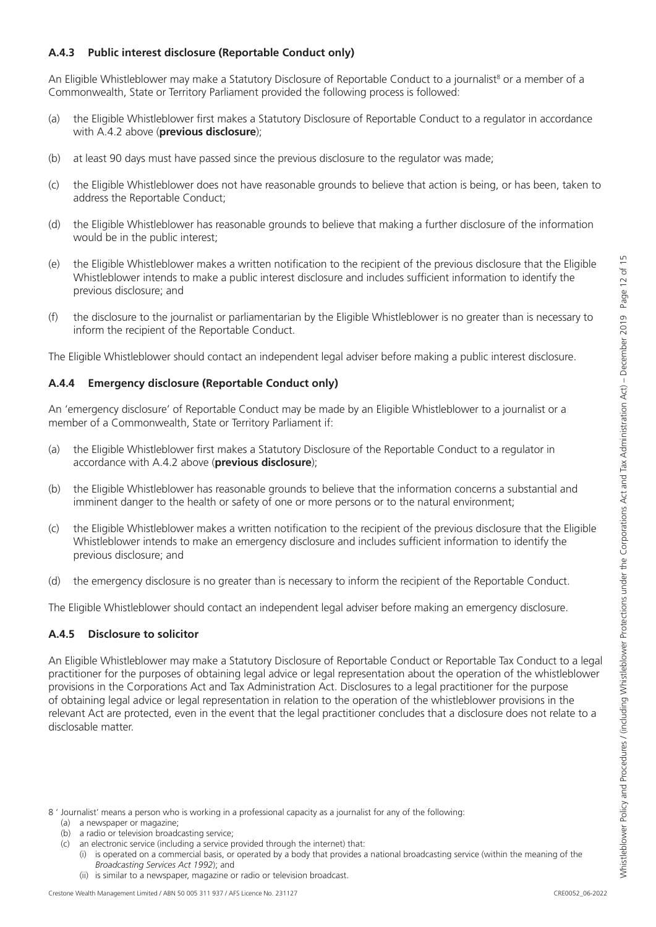### **A.4.3 Public interest disclosure (Reportable Conduct only)**

An Eligible Whistleblower may make a Statutory Disclosure of Reportable Conduct to a journalist<sup>8</sup> or a member of a Commonwealth, State or Territory Parliament provided the following process is followed:

- (a) the Eligible Whistleblower first makes a Statutory Disclosure of Reportable Conduct to a regulator in accordance with A.4.2 above (**previous disclosure**);
- (b) at least 90 days must have passed since the previous disclosure to the regulator was made;
- (c) the Eligible Whistleblower does not have reasonable grounds to believe that action is being, or has been, taken to address the Reportable Conduct;
- (d) the Eligible Whistleblower has reasonable grounds to believe that making a further disclosure of the information would be in the public interest;
- (e) the Eligible Whistleblower makes a written notification to the recipient of the previous disclosure that the Eligible Whistleblower intends to make a public interest disclosure and includes sufficient information to identify the previous disclosure; and
- (f) the disclosure to the journalist or parliamentarian by the Eligible Whistleblower is no greater than is necessary to inform the recipient of the Reportable Conduct.

The Eligible Whistleblower should contact an independent legal adviser before making a public interest disclosure.

### **A.4.4 Emergency disclosure (Reportable Conduct only)**

An 'emergency disclosure' of Reportable Conduct may be made by an Eligible Whistleblower to a journalist or a member of a Commonwealth, State or Territory Parliament if:

- (a) the Eligible Whistleblower first makes a Statutory Disclosure of the Reportable Conduct to a regulator in accordance with A.4.2 above (**previous disclosure**);
- (b) the Eligible Whistleblower has reasonable grounds to believe that the information concerns a substantial and imminent danger to the health or safety of one or more persons or to the natural environment;
- (c) the Eligible Whistleblower makes a written notification to the recipient of the previous disclosure that the Eligible Whistleblower intends to make an emergency disclosure and includes sufficient information to identify the previous disclosure; and
- (d) the emergency disclosure is no greater than is necessary to inform the recipient of the Reportable Conduct.

The Eligible Whistleblower should contact an independent legal adviser before making an emergency disclosure.

### **A.4.5 Disclosure to solicitor**

An Eligible Whistleblower may make a Statutory Disclosure of Reportable Conduct or Reportable Tax Conduct to a legal practitioner for the purposes of obtaining legal advice or legal representation about the operation of the whistleblower provisions in the Corporations Act and Tax Administration Act. Disclosures to a legal practitioner for the purpose of obtaining legal advice or legal representation in relation to the operation of the whistleblower provisions in the relevant Act are protected, even in the event that the legal practitioner concludes that a disclosure does not relate to a disclosable matter.

- (a) a newspaper or magazine; (b) a radio or television broadcasting service;
- (c) an electronic service (including a service provided through the internet) that:
	- (i) is operated on a commercial basis, or operated by a body that provides a national broadcasting service (within the meaning of the *Broadcasting Services Act 1992*); and
	- (ii) is similar to a newspaper, magazine or radio or television broadcast.

<sup>8 &#</sup>x27; Journalist' means a person who is working in a professional capacity as a journalist for any of the following: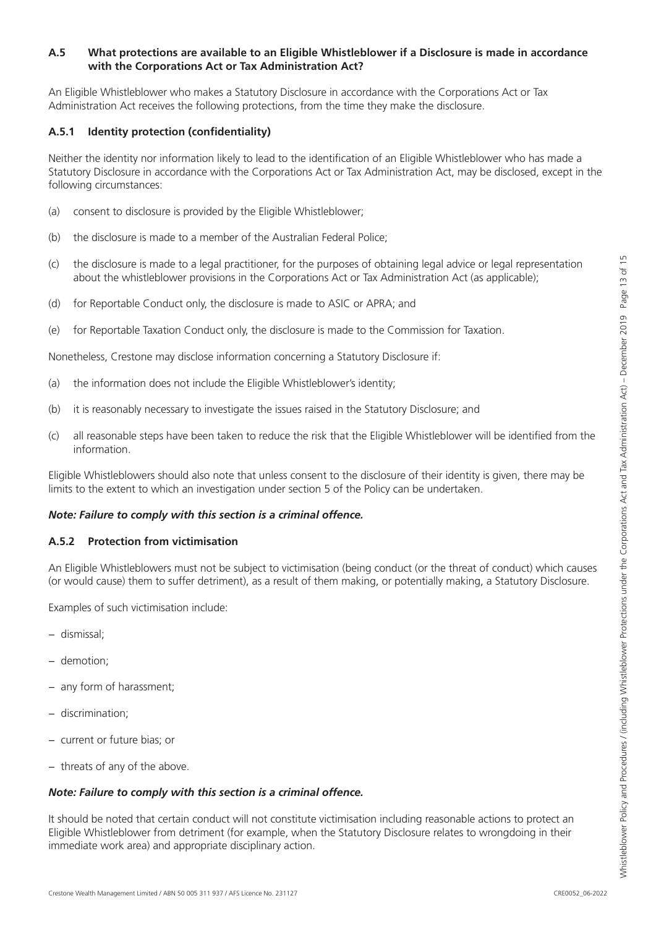### **A.5 What protections are available to an Eligible Whistleblower if a Disclosure is made in accordance with the Corporations Act or Tax Administration Act?**

An Eligible Whistleblower who makes a Statutory Disclosure in accordance with the Corporations Act or Tax Administration Act receives the following protections, from the time they make the disclosure.

### **A.5.1 Identity protection (confidentiality)**

Neither the identity nor information likely to lead to the identification of an Eligible Whistleblower who has made a Statutory Disclosure in accordance with the Corporations Act or Tax Administration Act, may be disclosed, except in the following circumstances:

- (a) consent to disclosure is provided by the Eligible Whistleblower;
- (b) the disclosure is made to a member of the Australian Federal Police;
- (c) the disclosure is made to a legal practitioner, for the purposes of obtaining legal advice or legal representation about the whistleblower provisions in the Corporations Act or Tax Administration Act (as applicable);
- (d) for Reportable Conduct only, the disclosure is made to ASIC or APRA; and
- (e) for Reportable Taxation Conduct only, the disclosure is made to the Commission for Taxation.

Nonetheless, Crestone may disclose information concerning a Statutory Disclosure if:

- (a) the information does not include the Eligible Whistleblower's identity;
- (b) it is reasonably necessary to investigate the issues raised in the Statutory Disclosure; and
- (c) all reasonable steps have been taken to reduce the risk that the Eligible Whistleblower will be identified from the information.

Eligible Whistleblowers should also note that unless consent to the disclosure of their identity is given, there may be limits to the extent to which an investigation under section 5 of the Policy can be undertaken.

### *Note: Failure to comply with this section is a criminal offence.*

### **A.5.2 Protection from victimisation**

An Eligible Whistleblowers must not be subject to victimisation (being conduct (or the threat of conduct) which causes (or would cause) them to suffer detriment), as a result of them making, or potentially making, a Statutory Disclosure.

Examples of such victimisation include:

- − dismissal;
- − demotion;
- any form of harassment;
- − discrimination;
- − current or future bias; or
- − threats of any of the above.

# *Note: Failure to comply with this section is a criminal offence.*

It should be noted that certain conduct will not constitute victimisation including reasonable actions to protect an Eligible Whistleblower from detriment (for example, when the Statutory Disclosure relates to wrongdoing in their immediate work area) and appropriate disciplinary action.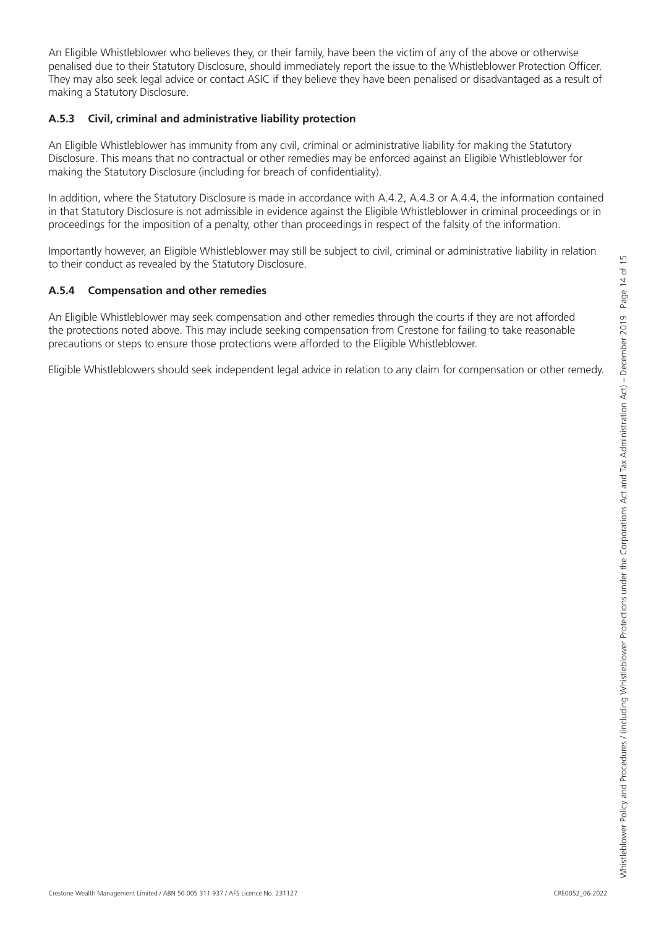penalised due to their Statutory Disclosure, should immediately report the issue to the Whistleblower Protection Officer. They may also seek legal advice or contact ASIC if they believe they have been penalised or disadvantaged as a result of making a Statutory Disclosure. **A.5.3 Civil, criminal and administrative liability protection**

An Eligible Whistleblower has immunity from any civil, criminal or administrative liability for making the Statutory Disclosure. This means that no contractual or other remedies may be enforced against an Eligible Whistleblower for making the Statutory Disclosure (including for breach of confidentiality).

An Eligible Whistleblower who believes they, or their family, have been the victim of any of the above or otherwise

In addition, where the Statutory Disclosure is made in accordance with A.4.2, A.4.3 or A.4.4, the information contained in that Statutory Disclosure is not admissible in evidence against the Eligible Whistleblower in criminal proceedings or in proceedings for the imposition of a penalty, other than proceedings in respect of the falsity of the information.

Importantly however, an Eligible Whistleblower may still be subject to civil, criminal or administrative liability in relation to their conduct as revealed by the Statutory Disclosure.

# **A.5.4 Compensation and other remedies**

An Eligible Whistleblower may seek compensation and other remedies through the courts if they are not afforded the protections noted above. This may include seeking compensation from Crestone for failing to take reasonable precautions or steps to ensure those protections were afforded to the Eligible Whistleblower.

Eligible Whistleblowers should seek independent legal advice in relation to any claim for compensation or other remedy.